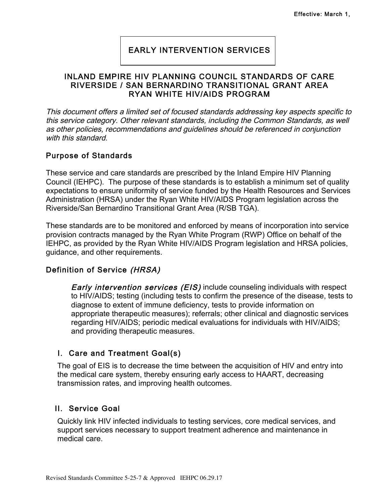# EARLY INTERVENTION SERVICES

### INLAND EMPIRE HIV PLANNING COUNCIL STANDARDS OF CARE RIVERSIDE / SAN BERNARDINO TRANSITIONAL GRANT AREA RYAN WHITE HIV/AIDS PROGRAM

ֺ֘

This document offers a limited set of focused standards addressing key aspects specific to this service category. Other relevant standards, including the Common Standards, as well as other policies, recommendations and guidelines should be referenced in conjunction with this standard.

### Purpose of Standards

These service and care standards are prescribed by the Inland Empire HIV Planning Council (IEHPC). The purpose of these standards is to establish a minimum set of quality expectations to ensure uniformity of service funded by the Health Resources and Services Administration (HRSA) under the Ryan White HIV/AIDS Program legislation across the Riverside/San Bernardino Transitional Grant Area (R/SB TGA).

These standards are to be monitored and enforced by means of incorporation into service provision contracts managed by the Ryan White Program (RWP) Office on behalf of the IEHPC, as provided by the Ryan White HIV/AIDS Program legislation and HRSA policies, guidance, and other requirements.

### Definition of Service (HRSA)

**Early intervention services (EIS)** include counseling individuals with respect to HIV/AIDS; testing (including tests to confirm the presence of the disease, tests to diagnose to extent of immune deficiency, tests to provide information on appropriate therapeutic measures); referrals; other clinical and diagnostic services regarding HIV/AIDS; periodic medical evaluations for individuals with HIV/AIDS; and providing therapeutic measures.

### I. Care and Treatment Goal(s)

The goal of EIS is to decrease the time between the acquisition of HIV and entry into the medical care system, thereby ensuring early access to HAART, decreasing transmission rates, and improving health outcomes.

### II. Service Goal

Quickly link HIV infected individuals to testing services, core medical services, and support services necessary to support treatment adherence and maintenance in medical care.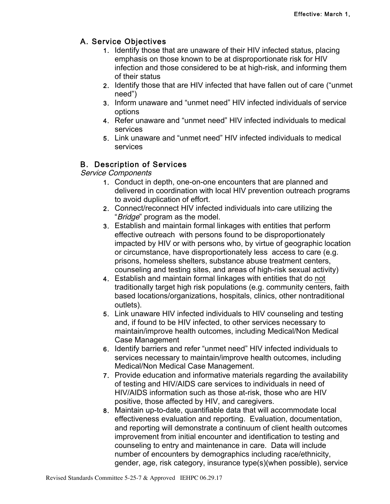# A. Service Objectives

- 1. Identify those that are unaware of their HIV infected status, placing emphasis on those known to be at disproportionate risk for HIV infection and those considered to be at high-risk, and informing them of their status
- 2. Identify those that are HIV infected that have fallen out of care ("unmet need")
- 3. Inform unaware and "unmet need" HIV infected individuals of service options
- 4. Refer unaware and "unmet need" HIV infected individuals to medical services
- 5. Link unaware and "unmet need" HIV infected individuals to medical services

# B. Description of Services

Service Components

- 1. Conduct in depth, one-on-one encounters that are planned and delivered in coordination with local HIV prevention outreach programs to avoid duplication of effort.
- 2. Connect/reconnect HIV infected individuals into care utilizing the "Bridge" program as the model.
- 3. Establish and maintain formal linkages with entities that perform effective outreach with persons found to be disproportionately impacted by HIV or with persons who, by virtue of geographic location or circumstance, have disproportionately less access to care (e.g. prisons, homeless shelters, substance abuse treatment centers, counseling and testing sites, and areas of high-risk sexual activity)
- 4. Establish and maintain formal linkages with entities that do not traditionally target high risk populations (e.g. community centers, faith based locations/organizations, hospitals, clinics, other nontraditional outlets).
- 5. Link unaware HIV infected individuals to HIV counseling and testing and, if found to be HIV infected, to other services necessary to maintain/improve health outcomes, including Medical/Non Medical Case Management
- 6. Identify barriers and refer "unmet need" HIV infected individuals to services necessary to maintain/improve health outcomes, including Medical/Non Medical Case Management.
- 7. Provide education and informative materials regarding the availability of testing and HIV/AIDS care services to individuals in need of HIV/AIDS information such as those at-risk, those who are HIV positive, those affected by HIV, and caregivers.
- 8. Maintain up-to-date, quantifiable data that will accommodate local effectiveness evaluation and reporting. Evaluation, documentation, and reporting will demonstrate a continuum of client health outcomes improvement from initial encounter and identification to testing and counseling to entry and maintenance in care. Data will include number of encounters by demographics including race/ethnicity, gender, age, risk category, insurance type(s)(when possible), service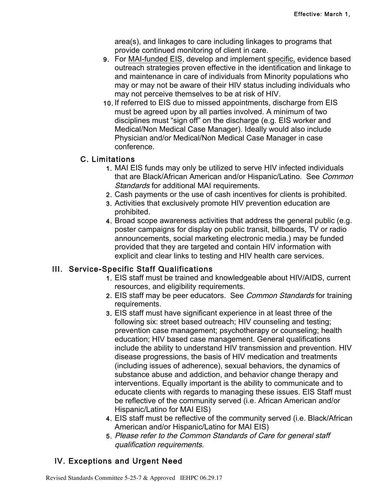area(s), and linkages to care including linkages to programs that provide continued monitoring of client in care.

- 9. For MAI-funded EIS, develop and implement specific, evidence based outreach strategies proven effective in the identification and linkage to and maintenance in care of individuals from Minority populations who may or may not be aware of their HIV status including individuals who may not perceive themselves to be at risk of HIV.
- 10. If referred to EIS due to missed appointments, discharge from EIS must be agreed upon by all parties involved. A minimum of two disciplines must "sign off" on the discharge (e.g. EIS worker and Medical/Non Medical Case Manager). Ideally would also include Physician and/or Medical/Non Medical Case Manager in case conference.

#### C. Limitations

- 1. MAI EIS funds may only be utilized to serve HIV infected individuals that are Black/African American and/or Hispanic/Latino. See Common Standards for additional MAI requirements.
- 2. Cash payments or the use of cash incentives for clients is prohibited.
- 3. Activities that exclusively promote HIV prevention education are prohibited.
- 4. Broad scope awareness activities that address the general public (e.g. poster campaigns for display on public transit, billboards, TV or radio announcements, social marketing electronic media.) may be funded provided that they are targeted and contain HIV information with explicit and clear links to testing and HIV health care services.

### III. Service-Specific Staff Qualifications

- 1. EIS staff must be trained and knowledgeable about HIV/AIDS, current resources, and eligibility requirements.
- 2. EIS staff may be peer educators. See Common Standards for training requirements.
- 3. EIS staff must have significant experience in at least three of the following six: street based outreach; HIV counseling and testing; prevention case management; psychotherapy or counseling; health education; HIV based case management. General qualifications include the ability to understand HIV transmission and prevention. HIV disease progressions, the basis of HIV medication and treatments (including issues of adherence), sexual behaviors, the dynamics of substance abuse and addiction, and behavior change therapy and interventions. Equally important is the ability to communicate and to educate clients with regards to managing these issues. EIS Staff must be reflective of the community served (i.e. African American and/or Hispanic/Latino for MAI EIS)
- 4. EIS staff must be reflective of the community served (i.e. Black/African American and/or Hispanic/Latino for MAI EIS)
- 5. Please refer to the Common Standards of Care for general staff qualification requirements.

### IV. Exceptions and Urgent Need